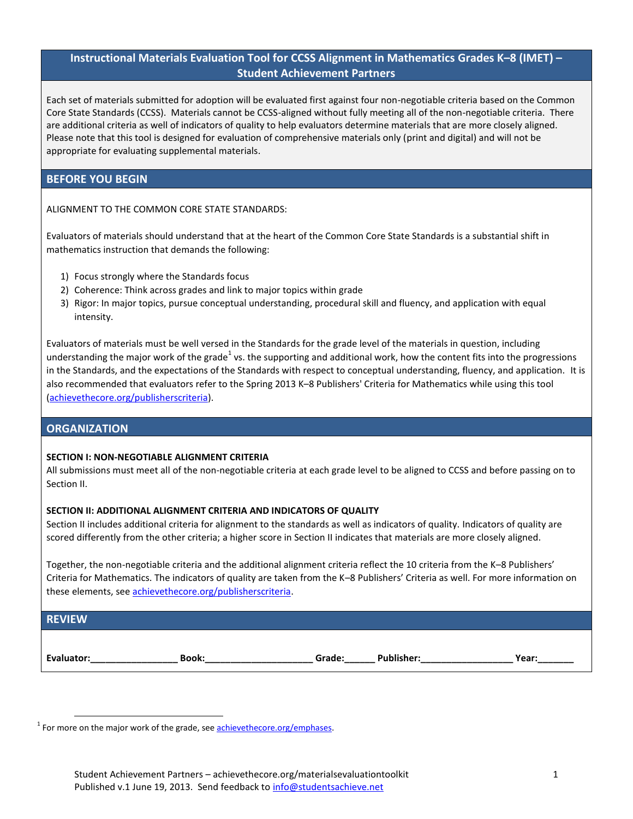# **Instructional Materials Evaluation Tool for CCSS Alignment in Mathematics Grades K–8 (IMET) – Student Achievement Partners**

Each set of materials submitted for adoption will be evaluated first against four non-negotiable criteria based on the Common Core State Standards (CCSS). Materials cannot be CCSS-aligned without fully meeting all of the non-negotiable criteria. There are additional criteria as well of indicators of quality to help evaluators determine materials that are more closely aligned. Please note that this tool is designed for evaluation of comprehensive materials only (print and digital) and will not be appropriate for evaluating supplemental materials.

## **BEFORE YOU BEGIN**

ALIGNMENT TO THE COMMON CORE STATE STANDARDS:

Evaluators of materials should understand that at the heart of the Common Core State Standards is a substantial shift in mathematics instruction that demands the following:

- 1) Focus strongly where the Standards focus
- 2) Coherence: Think across grades and link to major topics within grade
- 3) Rigor: In major topics, pursue conceptual understanding, procedural skill and fluency, and application with equal intensity.

Evaluators of materials must be well versed in the Standards for the grade level of the materials in question, including understanding the major work of the grade<sup>1</sup> vs. the supporting and additional work, how the content fits into the progressions in the Standards, and the expectations of the Standards with respect to conceptual understanding, fluency, and application. It is also recommended that evaluators refer to the Spring 2013 K–8 Publishers' Criteria for Mathematics while using this tool [\(achievethecore.org/publisherscriteria\)](http://www.achievethecore.org/publisherscriteria).

### **ORGANIZATION**

#### **SECTION I: NON-NEGOTIABLE ALIGNMENT CRITERIA**

All submissions must meet all of the non-negotiable criteria at each grade level to be aligned to CCSS and before passing on to Section II.

#### **SECTION II: ADDITIONAL ALIGNMENT CRITERIA AND INDICATORS OF QUALITY**

Section II includes additional criteria for alignment to the standards as well as indicators of quality. Indicators of quality are scored differently from the other criteria; a higher score in Section II indicates that materials are more closely aligned.

Together, the non-negotiable criteria and the additional alignment criteria reflect the 10 criteria from the K–8 Publishers' Criteria for Mathematics. The indicators of quality are taken from the K–8 Publishers' Criteria as well. For more information on these elements, see [achievethecore.org/publisherscriteria.](http://www.achievethecore.org/publisherscriteria)

## **REVIEW**

 $\overline{a}$ 

**Evaluator:\_\_\_\_\_\_\_\_\_\_\_\_\_\_\_\_\_ Book:\_\_\_\_\_\_\_\_\_\_\_\_\_\_\_\_\_\_\_\_\_ Grade:\_\_\_\_\_\_ Publisher:\_\_\_\_\_\_\_\_\_\_\_\_\_\_\_\_\_\_ Year:\_\_\_\_\_\_\_**

<sup>1</sup> For more on the major work of the grade, see **achievethecore.org/emphases**.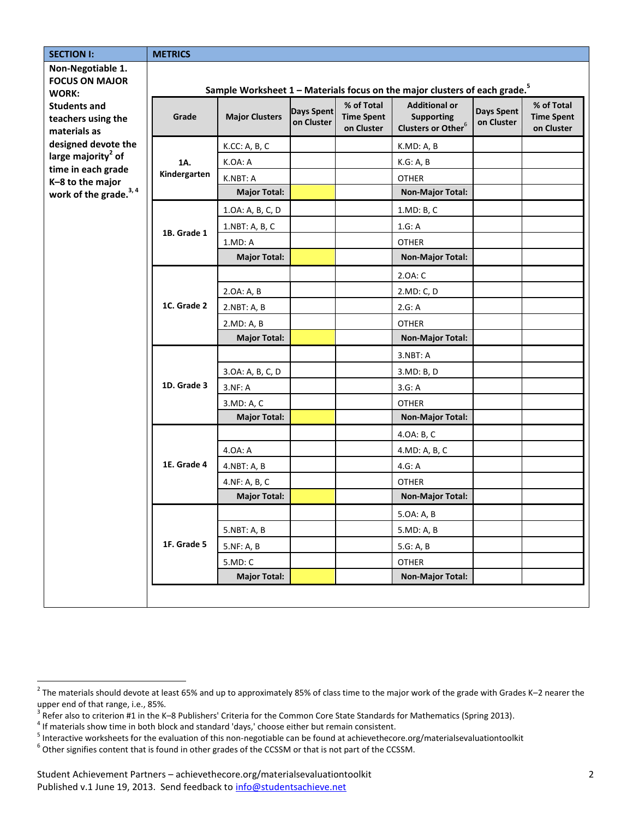| <b>SECTION I:</b>                                                                                                                                                                                                          | <b>METRICS</b>                                                                         |                       |                                 |                                               |                                                                             |                          |                                               |
|----------------------------------------------------------------------------------------------------------------------------------------------------------------------------------------------------------------------------|----------------------------------------------------------------------------------------|-----------------------|---------------------------------|-----------------------------------------------|-----------------------------------------------------------------------------|--------------------------|-----------------------------------------------|
| Non-Negotiable 1.<br><b>FOCUS ON MAJOR</b><br><b>WORK:</b><br><b>Students and</b><br>teachers using the<br>materials as<br>designed devote the<br>large majority <sup>2</sup> of<br>time in each grade<br>K-8 to the major | Sample Worksheet 1 - Materials focus on the major clusters of each grade. <sup>5</sup> |                       |                                 |                                               |                                                                             |                          |                                               |
|                                                                                                                                                                                                                            | Grade                                                                                  | <b>Major Clusters</b> | <b>Days Spent</b><br>on Cluster | % of Total<br><b>Time Spent</b><br>on Cluster | <b>Additional or</b><br><b>Supporting</b><br>Clusters or Other <sup>6</sup> | Days Spent<br>on Cluster | % of Total<br><b>Time Spent</b><br>on Cluster |
|                                                                                                                                                                                                                            |                                                                                        | K.CC: A, B, C         |                                 |                                               | K.MD: A, B                                                                  |                          |                                               |
|                                                                                                                                                                                                                            | 1A.                                                                                    | K.OA: A               |                                 |                                               | K.G: A, B                                                                   |                          |                                               |
|                                                                                                                                                                                                                            | Kindergarten                                                                           | K.NBT: A              |                                 |                                               | <b>OTHER</b>                                                                |                          |                                               |
| work of the grade. <sup>3,4</sup>                                                                                                                                                                                          |                                                                                        | <b>Major Total:</b>   |                                 |                                               | <b>Non-Major Total:</b>                                                     |                          |                                               |
|                                                                                                                                                                                                                            |                                                                                        | 1.0A: A, B, C, D      |                                 |                                               | 1.MD: B, C                                                                  |                          |                                               |
|                                                                                                                                                                                                                            | 1B. Grade 1                                                                            | 1.NBT: A, B, C        |                                 |                                               | 1.G:A                                                                       |                          |                                               |
|                                                                                                                                                                                                                            |                                                                                        | 1.MD: A               |                                 |                                               | <b>OTHER</b>                                                                |                          |                                               |
|                                                                                                                                                                                                                            |                                                                                        | <b>Major Total:</b>   |                                 |                                               | <b>Non-Major Total:</b>                                                     |                          |                                               |
|                                                                                                                                                                                                                            |                                                                                        |                       |                                 |                                               | 2.0A: C                                                                     |                          |                                               |
|                                                                                                                                                                                                                            | 1C. Grade 2                                                                            | 2.0A: A, B            |                                 |                                               | 2.MD: C, D                                                                  |                          |                                               |
|                                                                                                                                                                                                                            |                                                                                        | 2.NBT: A, B           |                                 |                                               | 2.G: A                                                                      |                          |                                               |
|                                                                                                                                                                                                                            |                                                                                        | 2.MD: A, B            |                                 |                                               | <b>OTHER</b>                                                                |                          |                                               |
|                                                                                                                                                                                                                            |                                                                                        | <b>Major Total:</b>   |                                 |                                               | <b>Non-Major Total:</b>                                                     |                          |                                               |
|                                                                                                                                                                                                                            |                                                                                        |                       |                                 |                                               | 3.NBT: A                                                                    |                          |                                               |
|                                                                                                                                                                                                                            | 1D. Grade 3                                                                            | 3.0A: A, B, C, D      |                                 |                                               | 3.MD: B, D                                                                  |                          |                                               |
|                                                                                                                                                                                                                            |                                                                                        | 3.NF: A               |                                 |                                               | 3.G: A                                                                      |                          |                                               |
|                                                                                                                                                                                                                            |                                                                                        | 3.MD: A, C            |                                 |                                               | <b>OTHER</b>                                                                |                          |                                               |
|                                                                                                                                                                                                                            |                                                                                        | <b>Major Total:</b>   |                                 |                                               | <b>Non-Major Total:</b>                                                     |                          |                                               |
|                                                                                                                                                                                                                            |                                                                                        |                       |                                 |                                               | 4.0A: B, C                                                                  |                          |                                               |
|                                                                                                                                                                                                                            |                                                                                        | 4.0A: A               |                                 |                                               | 4.MD: A, B, C                                                               |                          |                                               |
|                                                                                                                                                                                                                            | 1E. Grade 4                                                                            | 4.NBT: A, B           |                                 |                                               | 4.G: A                                                                      |                          |                                               |
|                                                                                                                                                                                                                            |                                                                                        | 4.NF: A, B, C         |                                 |                                               | <b>OTHER</b>                                                                |                          |                                               |
|                                                                                                                                                                                                                            |                                                                                        | <b>Major Total:</b>   |                                 |                                               | <b>Non-Major Total:</b>                                                     |                          |                                               |
|                                                                                                                                                                                                                            |                                                                                        |                       |                                 |                                               | 5.0A: A, B                                                                  |                          |                                               |
|                                                                                                                                                                                                                            |                                                                                        | 5.NBT: A, B           |                                 |                                               | 5.MD: A, B                                                                  |                          |                                               |
|                                                                                                                                                                                                                            | 1F. Grade 5                                                                            | 5.NF: A, B            |                                 |                                               | 5.G: A, B                                                                   |                          |                                               |
|                                                                                                                                                                                                                            |                                                                                        | 5.MD: C               |                                 |                                               | <b>OTHER</b>                                                                |                          |                                               |
|                                                                                                                                                                                                                            |                                                                                        | <b>Major Total:</b>   |                                 |                                               | <b>Non-Major Total:</b>                                                     |                          |                                               |
|                                                                                                                                                                                                                            |                                                                                        |                       |                                 |                                               |                                                                             |                          |                                               |

 2 The materials should devote at least 65% and up to approximately 85% of class time to the major work of the grade with Grades K–2 nearer the

upper end of that range, i.e., 85%.<br><sup>3</sup> Refer also to criterion #1 in the K–8 Publishers' Criteria for the Common Core State Standards for Mathematics (Spring 2013).

 $<sup>4</sup>$  If materials show time in both block and standard 'days,' choose either but remain consistent.</sup>

<sup>&</sup>lt;sup>5</sup> Interactive worksheets for the evaluation of this non-negotiable can be found at achievethecore.org/materialsevaluationtoolkit

 $^6$  Other signifies content that is found in other grades of the CCSSM or that is not part of the CCSSM.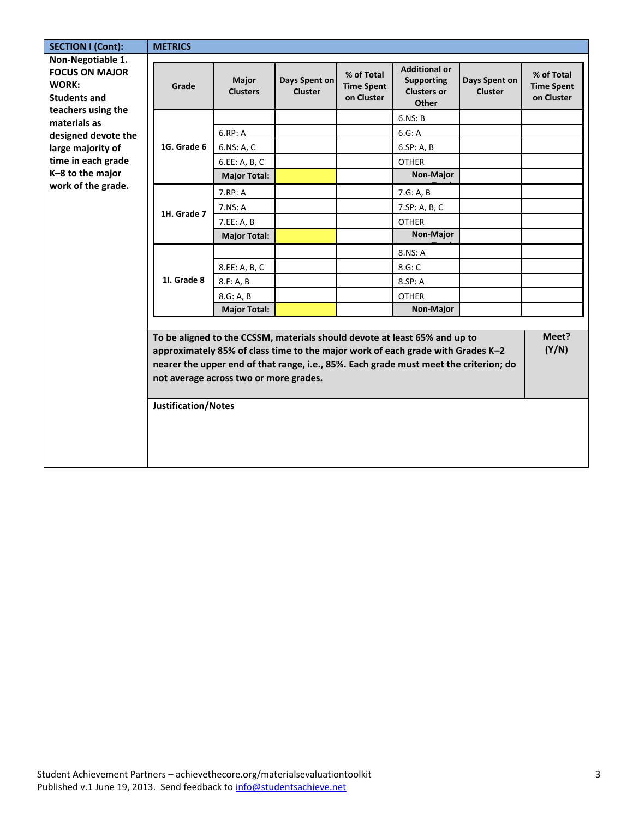| <b>SECTION I (Cont):</b>                                                                                                                                                                  | <b>METRICS</b>             |                                        |                                 |                                               |                                                                                                                                                                                                                                                        |                                 |                                               |
|-------------------------------------------------------------------------------------------------------------------------------------------------------------------------------------------|----------------------------|----------------------------------------|---------------------------------|-----------------------------------------------|--------------------------------------------------------------------------------------------------------------------------------------------------------------------------------------------------------------------------------------------------------|---------------------------------|-----------------------------------------------|
| Non-Negotiable 1.<br><b>FOCUS ON MAJOR</b><br><b>WORK:</b><br><b>Students and</b><br>teachers using the<br>materials as<br>designed devote the<br>large majority of<br>time in each grade | Grade                      | <b>Major</b><br><b>Clusters</b>        | Days Spent on<br><b>Cluster</b> | % of Total<br><b>Time Spent</b><br>on Cluster | <b>Additional or</b><br><b>Supporting</b><br><b>Clusters or</b><br>Other                                                                                                                                                                               | Days Spent on<br><b>Cluster</b> | % of Total<br><b>Time Spent</b><br>on Cluster |
|                                                                                                                                                                                           |                            | 6.RP: A                                |                                 |                                               | 6.NS: B<br>6.G: A                                                                                                                                                                                                                                      |                                 |                                               |
|                                                                                                                                                                                           | 1G. Grade 6                | 6.NS: A, C<br>6.EE: A, B, C            |                                 |                                               | 6.SP: A, B<br><b>OTHER</b>                                                                                                                                                                                                                             |                                 |                                               |
| K-8 to the major                                                                                                                                                                          |                            | <b>Major Total:</b>                    |                                 |                                               | Non-Major                                                                                                                                                                                                                                              |                                 |                                               |
| work of the grade.                                                                                                                                                                        |                            | 7.RP: A                                |                                 |                                               | 7.G: A, B                                                                                                                                                                                                                                              |                                 |                                               |
|                                                                                                                                                                                           | 1H. Grade 7                | 7.NS: A                                |                                 |                                               | 7.SP: A, B, C                                                                                                                                                                                                                                          |                                 |                                               |
|                                                                                                                                                                                           |                            | 7.EE: A, B                             |                                 |                                               | <b>OTHER</b>                                                                                                                                                                                                                                           |                                 |                                               |
|                                                                                                                                                                                           |                            | <b>Major Total:</b>                    |                                 |                                               | Non-Major                                                                                                                                                                                                                                              |                                 |                                               |
|                                                                                                                                                                                           | 11. Grade 8                |                                        |                                 |                                               | 8.NS: A                                                                                                                                                                                                                                                |                                 |                                               |
|                                                                                                                                                                                           |                            | 8.EE: A, B, C                          |                                 |                                               | 8.G: C                                                                                                                                                                                                                                                 |                                 |                                               |
|                                                                                                                                                                                           |                            | 8.F: A, B                              |                                 |                                               | 8.SP: A                                                                                                                                                                                                                                                |                                 |                                               |
|                                                                                                                                                                                           |                            | 8.G: A, B                              |                                 |                                               | <b>OTHER</b>                                                                                                                                                                                                                                           |                                 |                                               |
|                                                                                                                                                                                           |                            | <b>Major Total:</b>                    |                                 |                                               | Non-Major                                                                                                                                                                                                                                              |                                 |                                               |
|                                                                                                                                                                                           | <b>Justification/Notes</b> | not average across two or more grades. |                                 |                                               | To be aligned to the CCSSM, materials should devote at least 65% and up to<br>approximately 85% of class time to the major work of each grade with Grades K-2<br>nearer the upper end of that range, i.e., 85%. Each grade must meet the criterion; do |                                 | Meet?<br>(Y/N)                                |
|                                                                                                                                                                                           |                            |                                        |                                 |                                               |                                                                                                                                                                                                                                                        |                                 |                                               |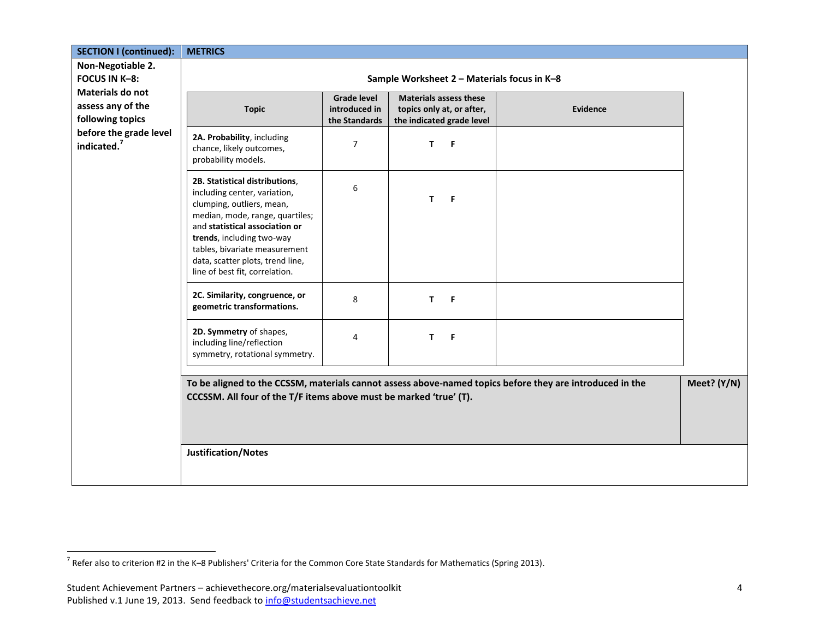| <b>SECTION I (continued):</b>              | <b>METRICS</b>                                                                                                                                                                                                                                                                                       |                    |                               |          |  |
|--------------------------------------------|------------------------------------------------------------------------------------------------------------------------------------------------------------------------------------------------------------------------------------------------------------------------------------------------------|--------------------|-------------------------------|----------|--|
| Non-Negotiable 2.                          |                                                                                                                                                                                                                                                                                                      |                    |                               |          |  |
| FOCUS IN K-8:                              | Sample Worksheet 2 - Materials focus in K-8                                                                                                                                                                                                                                                          |                    |                               |          |  |
| <b>Materials do not</b>                    |                                                                                                                                                                                                                                                                                                      | <b>Grade level</b> | <b>Materials assess these</b> |          |  |
| assess any of the                          | <b>Topic</b>                                                                                                                                                                                                                                                                                         | introduced in      | topics only at, or after,     | Evidence |  |
| following topics<br>before the grade level |                                                                                                                                                                                                                                                                                                      | the Standards      | the indicated grade level     |          |  |
| indicated. <sup>7</sup>                    | 2A. Probability, including<br>chance, likely outcomes,<br>probability models.                                                                                                                                                                                                                        | $\overline{7}$     | T.<br>F                       |          |  |
|                                            | 2B. Statistical distributions,<br>including center, variation,<br>clumping, outliers, mean,<br>median, mode, range, quartiles;<br>and statistical association or<br>trends, including two-way<br>tables, bivariate measurement<br>data, scatter plots, trend line,<br>line of best fit, correlation. | 6                  | T.<br>F                       |          |  |
|                                            | 2C. Similarity, congruence, or<br>geometric transformations.                                                                                                                                                                                                                                         | 8                  | T.<br>$\overline{F}$          |          |  |
|                                            | 2D. Symmetry of shapes,<br>including line/reflection<br>symmetry, rotational symmetry.                                                                                                                                                                                                               | 4                  | T.<br>F                       |          |  |
|                                            | To be aligned to the CCSSM, materials cannot assess above-named topics before they are introduced in the<br>CCCSSM. All four of the T/F items above must be marked 'true' (T).<br>Justification/Notes                                                                                                |                    |                               |          |  |
|                                            |                                                                                                                                                                                                                                                                                                      |                    |                               |          |  |

 7 Refer also to criterion #2 in the K–8 Publishers' Criteria for the Common Core State Standards for Mathematics (Spring 2013).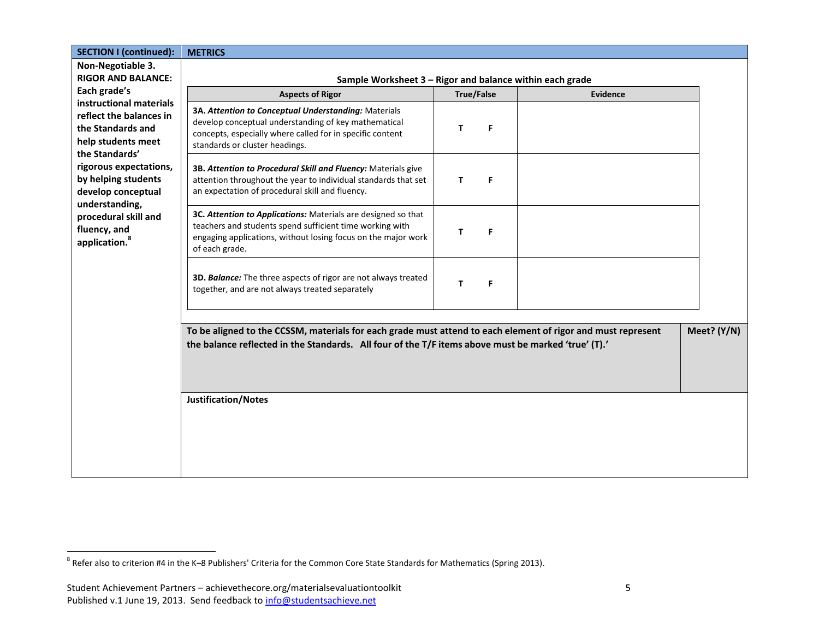| <b>SECTION I (continued):</b>                                                                                                                                                                                                                                                                                                                             | <b>METRICS</b>                                                                                                                                                                                                      |                   |          |             |  |  |
|-----------------------------------------------------------------------------------------------------------------------------------------------------------------------------------------------------------------------------------------------------------------------------------------------------------------------------------------------------------|---------------------------------------------------------------------------------------------------------------------------------------------------------------------------------------------------------------------|-------------------|----------|-------------|--|--|
| Non-Negotiable 3.                                                                                                                                                                                                                                                                                                                                         |                                                                                                                                                                                                                     |                   |          |             |  |  |
| <b>RIGOR AND BALANCE:</b>                                                                                                                                                                                                                                                                                                                                 | Sample Worksheet 3 - Rigor and balance within each grade                                                                                                                                                            |                   |          |             |  |  |
| Each grade's<br>instructional materials                                                                                                                                                                                                                                                                                                                   | <b>Aspects of Rigor</b>                                                                                                                                                                                             | <b>True/False</b> | Evidence |             |  |  |
| reflect the balances in<br>the Standards and<br>help students meet<br>standards or cluster headings.<br>the Standards'<br>rigorous expectations,<br>by helping students<br>an expectation of procedural skill and fluency.<br>develop conceptual<br>understanding,<br>procedural skill and<br>fluency, and<br>application. <sup>8</sup><br>of each grade. | 3A. Attention to Conceptual Understanding: Materials<br>develop conceptual understanding of key mathematical<br>concepts, especially where called for in specific content                                           | F<br>T            |          |             |  |  |
|                                                                                                                                                                                                                                                                                                                                                           | 3B. Attention to Procedural Skill and Fluency: Materials give<br>attention throughout the year to individual standards that set                                                                                     | T<br>F            |          |             |  |  |
|                                                                                                                                                                                                                                                                                                                                                           | 3C. Attention to Applications: Materials are designed so that<br>teachers and students spend sufficient time working with<br>engaging applications, without losing focus on the major work                          | F.<br>т           |          |             |  |  |
|                                                                                                                                                                                                                                                                                                                                                           | 3D. Balance: The three aspects of rigor are not always treated<br>together, and are not always treated separately                                                                                                   | T<br>F            |          |             |  |  |
|                                                                                                                                                                                                                                                                                                                                                           | To be aligned to the CCSSM, materials for each grade must attend to each element of rigor and must represent<br>the balance reflected in the Standards. All four of the T/F items above must be marked 'true' (T).' |                   |          | Meet? (Y/N) |  |  |
|                                                                                                                                                                                                                                                                                                                                                           | <b>Justification/Notes</b>                                                                                                                                                                                          |                   |          |             |  |  |

 8 Refer also to criterion #4 in the K–8 Publishers' Criteria for the Common Core State Standards for Mathematics (Spring 2013).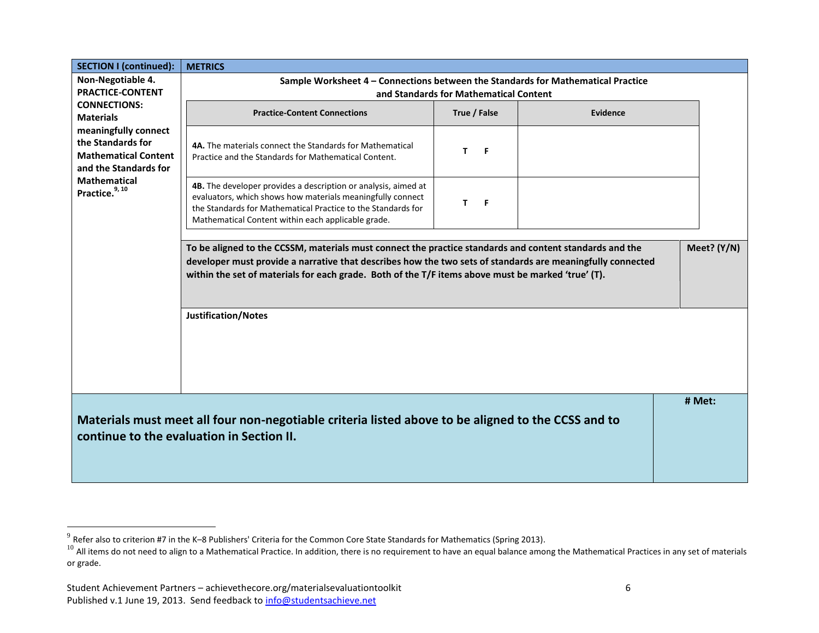| <b>SECTION I (continued):</b>                                                                                            | <b>METRICS</b>                                                                                                                                                                                                                                                                                                              |              |                 |             |  |
|--------------------------------------------------------------------------------------------------------------------------|-----------------------------------------------------------------------------------------------------------------------------------------------------------------------------------------------------------------------------------------------------------------------------------------------------------------------------|--------------|-----------------|-------------|--|
| Non-Negotiable 4.                                                                                                        | Sample Worksheet 4 - Connections between the Standards for Mathematical Practice                                                                                                                                                                                                                                            |              |                 |             |  |
| <b>PRACTICE-CONTENT</b>                                                                                                  | and Standards for Mathematical Content                                                                                                                                                                                                                                                                                      |              |                 |             |  |
| <b>CONNECTIONS:</b><br><b>Materials</b>                                                                                  | <b>Practice-Content Connections</b>                                                                                                                                                                                                                                                                                         | True / False | <b>Evidence</b> |             |  |
| meaningfully connect<br>the Standards for<br><b>Mathematical Content</b><br>and the Standards for<br><b>Mathematical</b> | 4A. The materials connect the Standards for Mathematical<br>Practice and the Standards for Mathematical Content.<br>4B. The developer provides a description or analysis, aimed at                                                                                                                                          | T.<br>F.     |                 |             |  |
| Practice. <sup>9, 10</sup>                                                                                               | evaluators, which shows how materials meaningfully connect<br>the Standards for Mathematical Practice to the Standards for<br>Mathematical Content within each applicable grade.                                                                                                                                            | T.<br>- F    |                 |             |  |
|                                                                                                                          | To be aligned to the CCSSM, materials must connect the practice standards and content standards and the<br>developer must provide a narrative that describes how the two sets of standards are meaningfully connected<br>within the set of materials for each grade. Both of the T/F items above must be marked 'true' (T). |              |                 | Meet? (Y/N) |  |
|                                                                                                                          | <b>Justification/Notes</b>                                                                                                                                                                                                                                                                                                  |              |                 |             |  |
|                                                                                                                          | Materials must meet all four non-negotiable criteria listed above to be aligned to the CCSS and to<br>continue to the evaluation in Section II.                                                                                                                                                                             |              |                 | # Met:      |  |

 9 Refer also to criterion #7 in the K–8 Publishers' Criteria for the Common Core State Standards for Mathematics (Spring 2013).

 $10$  All items do not need to align to a Mathematical Practice. In addition, there is no requirement to have an equal balance among the Mathematical Practices in any set of materials or grade.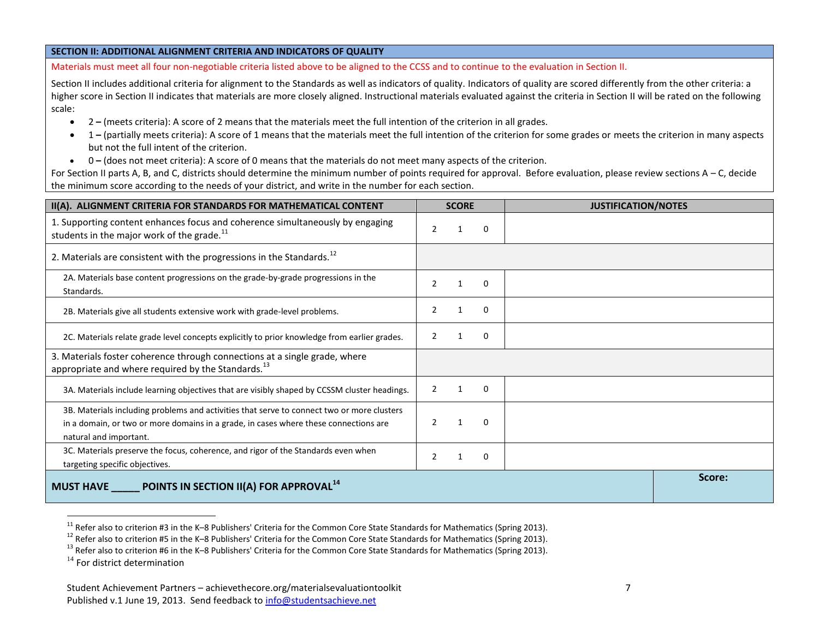#### **SECTION II: ADDITIONAL ALIGNMENT CRITERIA AND INDICATORS OF QUALITY**

Materials must meet all four non-negotiable criteria listed above to be aligned to the CCSS and to continue to the evaluation in Section II.

Section II includes additional criteria for alignment to the Standards as well as indicators of quality. Indicators of quality are scored differently from the other criteria: a higher score in Section II indicates that materials are more closely aligned. Instructional materials evaluated against the criteria in Section II will be rated on the following scale:

- 2 **–** (meets criteria): A score of 2 means that the materials meet the full intention of the criterion in all grades.
- 1 **–** (partially meets criteria): A score of 1 means that the materials meet the full intention of the criterion for some grades or meets the criterion in many aspects but not the full intent of the criterion.
- 0 **–** (does not meet criteria): A score of 0 means that the materials do not meet many aspects of the criterion.

For Section II parts A, B, and C, districts should determine the minimum number of points required for approval. Before evaluation, please review sections A – C, decide the minimum score according to the needs of your district, and write in the number for each section.

| II(A). ALIGNMENT CRITERIA FOR STANDARDS FOR MATHEMATICAL CONTENT                                                                                                                                             | <b>SCORE</b>                    | <b>JUSTIFICATION/NOTES</b> |
|--------------------------------------------------------------------------------------------------------------------------------------------------------------------------------------------------------------|---------------------------------|----------------------------|
| 1. Supporting content enhances focus and coherence simultaneously by engaging<br>students in the major work of the grade. <sup>11</sup>                                                                      | 2<br>0<br>1                     |                            |
| 2. Materials are consistent with the progressions in the Standards. <sup>12</sup>                                                                                                                            |                                 |                            |
| 2A. Materials base content progressions on the grade-by-grade progressions in the<br>Standards.                                                                                                              | $\Omega$<br>$\mathcal{P}$<br>-1 |                            |
| 2B. Materials give all students extensive work with grade-level problems.                                                                                                                                    | 0<br>2<br>1                     |                            |
| 2C. Materials relate grade level concepts explicitly to prior knowledge from earlier grades.                                                                                                                 | 0<br>2<br>1                     |                            |
| 3. Materials foster coherence through connections at a single grade, where<br>appropriate and where required by the Standards. <sup>13</sup>                                                                 |                                 |                            |
| 3A. Materials include learning objectives that are visibly shaped by CCSSM cluster headings.                                                                                                                 | $\overline{2}$<br>$\Omega$<br>1 |                            |
| 3B. Materials including problems and activities that serve to connect two or more clusters<br>in a domain, or two or more domains in a grade, in cases where these connections are<br>natural and important. | $\Omega$                        |                            |
| 3C. Materials preserve the focus, coherence, and rigor of the Standards even when<br>targeting specific objectives.                                                                                          | 2<br>0                          |                            |
| MUST HAVE POINTS IN SECTION II(A) FOR APPROVAL <sup>14</sup>                                                                                                                                                 |                                 | Score:                     |

<sup>&</sup>lt;sup>11</sup> Refer also to criterion #3 in the K–8 Publishers' Criteria for the Common Core State Standards for Mathematics (Spring 2013).

 $\overline{a}$ 

<sup>&</sup>lt;sup>12</sup> Refer also to criterion #5 in the K–8 Publishers' Criteria for the Common Core State Standards for Mathematics (Spring 2013).

 $13$  Refer also to criterion #6 in the K–8 Publishers' Criteria for the Common Core State Standards for Mathematics (Spring 2013).

 $14$  For district determination

Student Achievement Partners – achievethecore.org/materialsevaluationtoolkit 7 Published v.1 June 19, 2013. Send feedback to info@studentsachieve.net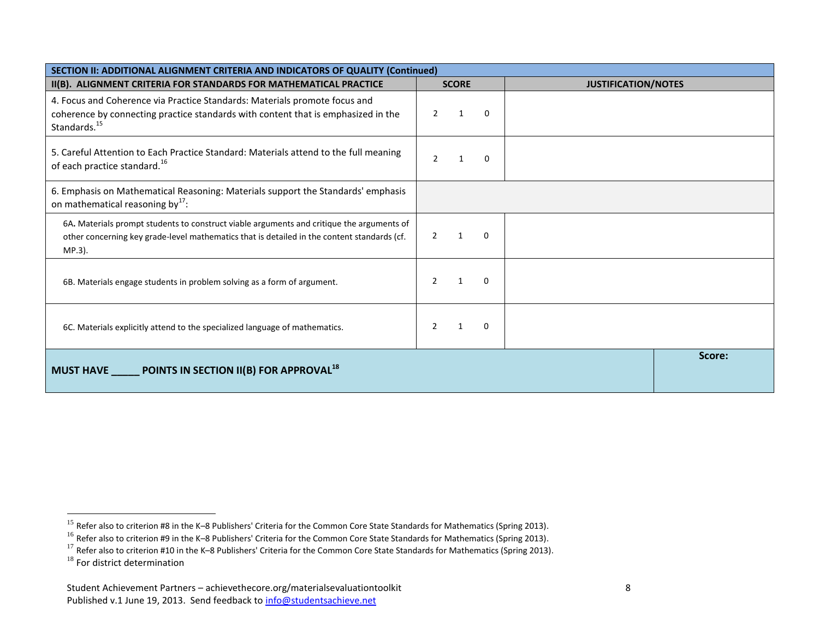| SECTION II: ADDITIONAL ALIGNMENT CRITERIA AND INDICATORS OF QUALITY (Continued)                                                                                                                    |                                           |                            |        |
|----------------------------------------------------------------------------------------------------------------------------------------------------------------------------------------------------|-------------------------------------------|----------------------------|--------|
| II(B). ALIGNMENT CRITERIA FOR STANDARDS FOR MATHEMATICAL PRACTICE                                                                                                                                  | <b>SCORE</b>                              | <b>JUSTIFICATION/NOTES</b> |        |
| 4. Focus and Coherence via Practice Standards: Materials promote focus and<br>coherence by connecting practice standards with content that is emphasized in the<br>Standards. <sup>15</sup>        | $\mathcal{P}$<br>$\mathbf{1}$<br>$\Omega$ |                            |        |
| 5. Careful Attention to Each Practice Standard: Materials attend to the full meaning<br>of each practice standard. <sup>16</sup>                                                                   | 0<br>$\mathcal{P}$                        |                            |        |
| 6. Emphasis on Mathematical Reasoning: Materials support the Standards' emphasis<br>on mathematical reasoning by <sup>17</sup> :                                                                   |                                           |                            |        |
| 6A. Materials prompt students to construct viable arguments and critique the arguments of<br>other concerning key grade-level mathematics that is detailed in the content standards (cf.<br>MP.3). | $\Omega$<br>$\mathcal{P}$<br>$\mathbf 1$  |                            |        |
| 6B. Materials engage students in problem solving as a form of argument.                                                                                                                            | 0                                         |                            |        |
| 6C. Materials explicitly attend to the specialized language of mathematics.                                                                                                                        | $\Omega$                                  |                            |        |
| <b>POINTS IN SECTION II(B) FOR APPROVAL <math>^{18}</math></b><br><b>MUST HAVE</b>                                                                                                                 |                                           |                            | Score: |

 $\overline{a}$ 

<sup>&</sup>lt;sup>15</sup> Refer also to criterion #8 in the K–8 Publishers' Criteria for the Common Core State Standards for Mathematics (Spring 2013).

 $^{16}$  Refer also to criterion #9 in the K–8 Publishers' Criteria for the Common Core State Standards for Mathematics (Spring 2013).

<sup>17</sup> Refer also to criterion #10 in the K–8 Publishers' Criteria for the Common Core State Standards for Mathematics (Spring 2013).

<sup>&</sup>lt;sup>18</sup> For district determination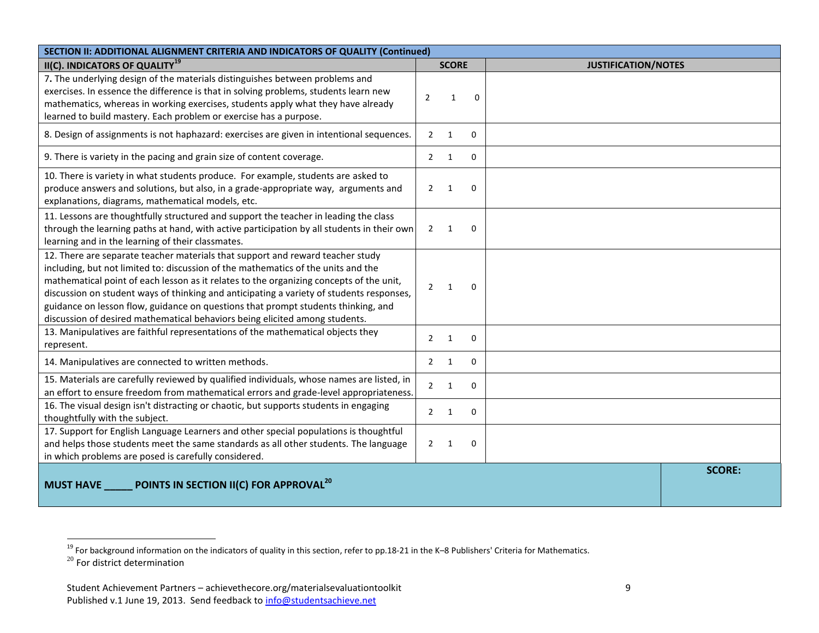| SECTION II: ADDITIONAL ALIGNMENT CRITERIA AND INDICATORS OF QUALITY (Continued)                                                                                                                                                                                                                                                                                                                                                                                                                                                |                                            |                            |  |
|--------------------------------------------------------------------------------------------------------------------------------------------------------------------------------------------------------------------------------------------------------------------------------------------------------------------------------------------------------------------------------------------------------------------------------------------------------------------------------------------------------------------------------|--------------------------------------------|----------------------------|--|
| II(C). INDICATORS OF QUALITY <sup>19</sup>                                                                                                                                                                                                                                                                                                                                                                                                                                                                                     | <b>SCORE</b>                               | <b>JUSTIFICATION/NOTES</b> |  |
| 7. The underlying design of the materials distinguishes between problems and<br>exercises. In essence the difference is that in solving problems, students learn new<br>mathematics, whereas in working exercises, students apply what they have already<br>learned to build mastery. Each problem or exercise has a purpose.                                                                                                                                                                                                  | $\overline{2}$<br>$\mathbf{1}$<br>$\Omega$ |                            |  |
| 8. Design of assignments is not haphazard: exercises are given in intentional sequences.                                                                                                                                                                                                                                                                                                                                                                                                                                       | $\overline{2}$<br>$\mathbf{1}$<br>$\Omega$ |                            |  |
| 9. There is variety in the pacing and grain size of content coverage.                                                                                                                                                                                                                                                                                                                                                                                                                                                          | $\overline{2}$<br>$\Omega$<br>1            |                            |  |
| 10. There is variety in what students produce. For example, students are asked to<br>produce answers and solutions, but also, in a grade-appropriate way, arguments and<br>explanations, diagrams, mathematical models, etc.                                                                                                                                                                                                                                                                                                   | $\overline{2}$<br>$\Omega$<br>1            |                            |  |
| 11. Lessons are thoughtfully structured and support the teacher in leading the class<br>through the learning paths at hand, with active participation by all students in their own<br>learning and in the learning of their classmates.                                                                                                                                                                                                                                                                                        | $\overline{2}$<br>1<br>0                   |                            |  |
| 12. There are separate teacher materials that support and reward teacher study<br>including, but not limited to: discussion of the mathematics of the units and the<br>mathematical point of each lesson as it relates to the organizing concepts of the unit,<br>discussion on student ways of thinking and anticipating a variety of students responses,<br>guidance on lesson flow, guidance on questions that prompt students thinking, and<br>discussion of desired mathematical behaviors being elicited among students. | $\overline{2}$<br>$\mathbf{1}$<br>$\Omega$ |                            |  |
| 13. Manipulatives are faithful representations of the mathematical objects they<br>represent.                                                                                                                                                                                                                                                                                                                                                                                                                                  | $\overline{2}$<br>$\mathbf 0$<br>1         |                            |  |
| 14. Manipulatives are connected to written methods.                                                                                                                                                                                                                                                                                                                                                                                                                                                                            | $\overline{2}$<br>$\mathbf{1}$<br>$\Omega$ |                            |  |
| 15. Materials are carefully reviewed by qualified individuals, whose names are listed, in<br>an effort to ensure freedom from mathematical errors and grade-level appropriateness.                                                                                                                                                                                                                                                                                                                                             | $\overline{2}$<br>$\Omega$<br>1            |                            |  |
| 16. The visual design isn't distracting or chaotic, but supports students in engaging<br>thoughtfully with the subject.                                                                                                                                                                                                                                                                                                                                                                                                        | $\overline{2}$<br>1<br>0                   |                            |  |
| 17. Support for English Language Learners and other special populations is thoughtful<br>and helps those students meet the same standards as all other students. The language<br>in which problems are posed is carefully considered.                                                                                                                                                                                                                                                                                          | $2^{\circ}$<br>1<br>$\Omega$               |                            |  |
| POINTS IN SECTION II(C) FOR APPROVAL <sup>20</sup><br><b>MUST HAVE</b>                                                                                                                                                                                                                                                                                                                                                                                                                                                         |                                            | <b>SCORE:</b>              |  |

 $\overline{a}$ 

<sup>&</sup>lt;sup>19</sup> For background information on the indicators of quality in this section, refer to pp.18-21 in the K–8 Publishers' Criteria for Mathematics.

 $^{20}$  For district determination

Student Achievement Partners – achievethecore.org/materialsevaluationtoolkit 9 Published v.1 June 19, 2013. Send feedback to info@studentsachieve.net